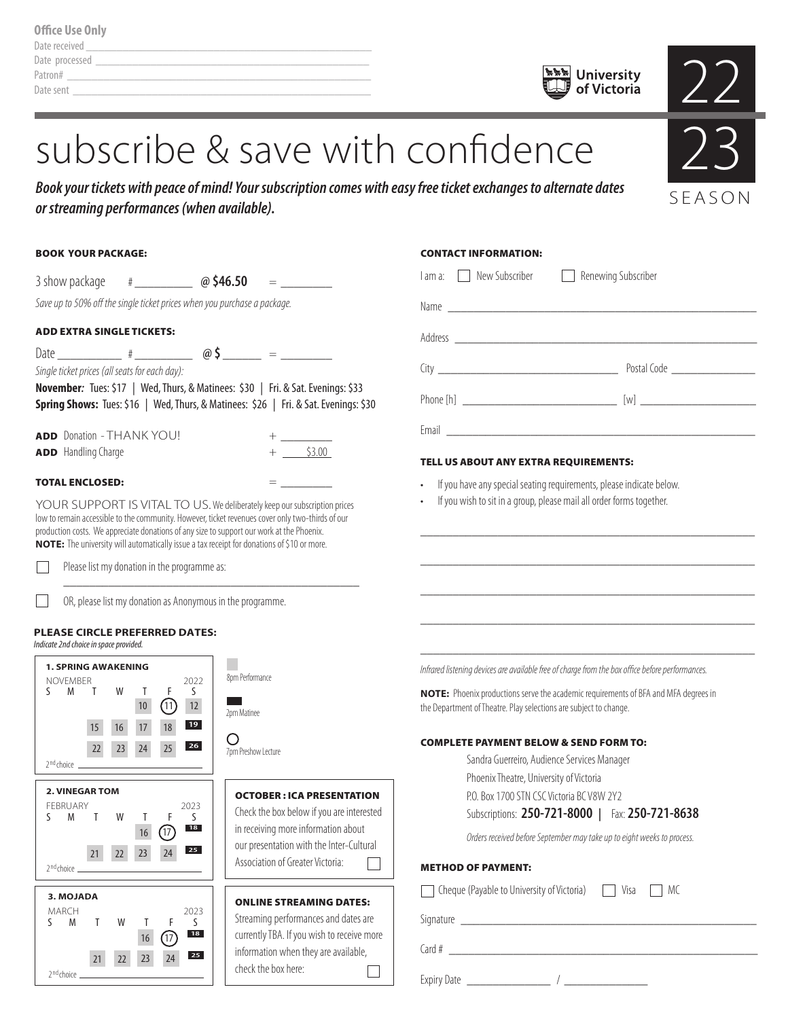| <b>Office Use Only</b> |  |
|------------------------|--|
| Date received          |  |
| Date processed         |  |
| Patron#                |  |
| Date sent              |  |

23

**SEASON** 

# subscribe & save with confidence

*Book your tickets with peace of mind! Your subscription comes with easy free ticket exchanges to alternate dates or streaming performances (when available).*

| <b>BOOK YOUR PACKAGE:</b>                                                                                                                                                                                                                                                                                                                                                | <b>CONTACT INFORMATION:</b>                                                                                                                              |
|--------------------------------------------------------------------------------------------------------------------------------------------------------------------------------------------------------------------------------------------------------------------------------------------------------------------------------------------------------------------------|----------------------------------------------------------------------------------------------------------------------------------------------------------|
|                                                                                                                                                                                                                                                                                                                                                                          | I am a: New Subscriber<br>Renewing Subscriber                                                                                                            |
| Save up to 50% off the single ticket prices when you purchase a package.                                                                                                                                                                                                                                                                                                 |                                                                                                                                                          |
| <b>ADD EXTRA SINGLE TICKETS:</b>                                                                                                                                                                                                                                                                                                                                         |                                                                                                                                                          |
| Single ticket prices (all seats for each day):                                                                                                                                                                                                                                                                                                                           |                                                                                                                                                          |
| November: Tues: \$17   Wed, Thurs, & Matinees: \$30   Fri. & Sat. Evenings: \$33<br>Spring Shows: Tues: \$16   Wed, Thurs, & Matinees: \$26   Fri. & Sat. Evenings: \$30                                                                                                                                                                                                 |                                                                                                                                                          |
| ADD Donation - THANK YOU!<br>$+$ $ -$                                                                                                                                                                                                                                                                                                                                    |                                                                                                                                                          |
| $+$ \$3.00<br>ADD Handling Charge                                                                                                                                                                                                                                                                                                                                        | <b>TELL US ABOUT ANY EXTRA REQUIREMENTS:</b>                                                                                                             |
| <b>TOTAL ENCLOSED:</b>                                                                                                                                                                                                                                                                                                                                                   | If you have any special seating requirements, please indicate below.                                                                                     |
| YOUR SUPPORT IS VITAL TO US. We deliberately keep our subscription prices<br>low to remain accessible to the community. However, ticket revenues cover only two-thirds of our<br>production costs. We appreciate donations of any size to support our work at the Phoenix.<br>NOTE: The university will automatically issue a tax receipt for donations of \$10 or more. | If you wish to sit in a group, please mail all order forms together.                                                                                     |
| Please list my donation in the programme as:                                                                                                                                                                                                                                                                                                                             |                                                                                                                                                          |
| OR, please list my donation as Anonymous in the programme.                                                                                                                                                                                                                                                                                                               |                                                                                                                                                          |
| <b>PLEASE CIRCLE PREFERRED DATES:</b><br>Indicate 2nd choice in space provided.                                                                                                                                                                                                                                                                                          |                                                                                                                                                          |
| <b>1. SPRING AWAKENING</b><br>8pm Performance                                                                                                                                                                                                                                                                                                                            | Infrared listening devices are available free of charge from the box office before performances.                                                         |
| NOVEMBER<br>2022<br>F.<br>S M T W<br>$\mathbf{I}$<br>S<br>(1)<br>10<br>12<br>2pm Matinee                                                                                                                                                                                                                                                                                 | NOTE: Phoenix productions serve the academic requirements of BFA and MFA degrees in<br>the Department of Theatre. Play selections are subject to change. |
| 19 <br>18<br>17<br>15<br>16<br>O<br>26<br>25<br>22<br>23<br>24<br>7pm Preshow Lecture                                                                                                                                                                                                                                                                                    | <b>COMPLETE PAYMENT BELOW &amp; SEND FORM TO:</b>                                                                                                        |
| 2 <sup>nd</sup> choice                                                                                                                                                                                                                                                                                                                                                   | Sandra Guerreiro, Audience Services Manager<br>Phoenix Theatre, University of Victoria                                                                   |
| <b>2. VINEGAR TOM</b><br><b>OCTOBER: ICA PRESENTATION</b><br>FEBRUARY<br>2023                                                                                                                                                                                                                                                                                            | P.O. Box 1700 STN CSC Victoria BC V8W 2Y2                                                                                                                |
| Check the box below if you are interested<br>T W T F<br>M<br>S<br>in receiving more information about<br> 18                                                                                                                                                                                                                                                             | Subscriptions: 250-721-8000   Fax: 250-721-8638                                                                                                          |
| (17)<br>16<br>our presentation with the Inter-Cultural<br>25<br>22<br>21<br>23<br>24                                                                                                                                                                                                                                                                                     | Orders received before September may take up to eight weeks to process.                                                                                  |
| Association of Greater Victoria:<br>2 <sup>nd</sup> choice                                                                                                                                                                                                                                                                                                               | <b>METHOD OF PAYMENT:</b>                                                                                                                                |
| 3. MOJADA<br><b>ONLINE STREAMING DATES:</b><br>MARCH<br>2023<br>Streaming performances and dates are<br>S.<br>M<br>W<br>S.<br>T<br>F                                                                                                                                                                                                                                     | ◯ Cheque (Payable to University of Victoria) ◯ Visa ◯ MC                                                                                                 |
| 18<br>currently TBA. If you wish to receive more<br>(17)<br>16                                                                                                                                                                                                                                                                                                           |                                                                                                                                                          |
| information when they are available,<br>25<br>22<br>23<br>21<br>24<br>check the box here:<br>$2nd$ choice _                                                                                                                                                                                                                                                              |                                                                                                                                                          |